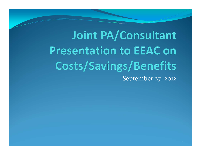Joint PA/Consultant **Presentation to EEAC on** Costs/Savings/Benefits September 27, <sup>2012</sup>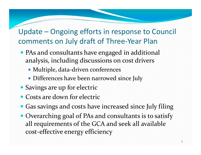#### Update – Ongoing efforts in response to Council comments on July draft of Three‐Year Plan

- PAs and consultants have engaged in additional analysis, including discussions on cost drivers
	- Multiple, data-driven conferences
	- Differences have been narrowed since July
- Savings are up for electric
- Costs are down for electric
- Gas savings and costs have increased since July filing
- Overarching goal of PAs and consultants is to satisfy all requirements of the GCA and seek all available cost‐effective energy efficiency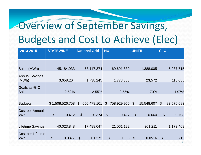### Overview of September Savings, Budgets and Cost to Achieve (Elec)

| 2013-2015                                |                            | <b>STATEWIDE</b> |                | <b>National Grid</b> | <b>NU</b>      |                        | <b>UNITIL</b>              |               | <b>CLC</b>                 |            |
|------------------------------------------|----------------------------|------------------|----------------|----------------------|----------------|------------------------|----------------------------|---------------|----------------------------|------------|
|                                          |                            |                  |                |                      |                |                        |                            |               |                            |            |
|                                          |                            |                  |                |                      |                |                        |                            |               |                            |            |
| Sales (MWh)                              |                            | 145, 184, 933    |                | 68,117,374           |                | 69,691,839             |                            | 1,388,005     |                            | 5,987,715  |
| <b>Annual Savings</b><br>(MWh)           |                            | 3,658,204        |                | 1,738,245            |                | 1,778,303              |                            | 23,572        |                            | 118,085    |
| Goals as % Of<br><b>Sales</b>            |                            | 2.52%            |                | 2.55%                |                | 2.55%                  |                            | 1.70%         |                            | 1.97%      |
|                                          |                            | \$1,508,526,758  | $\mathcal{L}$  | 650,478,101          | $\mathfrak{L}$ | 758,929,966            | $\mathfrak{S}$             | 15,548,607 \$ |                            | 83,570,083 |
| <b>Budgets</b><br>Cost per Annual<br>kWh | $\boldsymbol{\mathcal{L}}$ | 0.412            | $\mathfrak{S}$ | 0.374                | $\mathcal{S}$  | 0.427                  | $\boldsymbol{\mathsf{S}}$  | 0.660         | $\boldsymbol{\mathcal{S}}$ | 0.708      |
| <b>Lifetime Savings</b>                  |                            | 40,023,848       |                | 17,488,047           |                | 21,061,122             |                            | 301,211       |                            | 1,173,469  |
| Cost per Lifetime<br><b>kWh</b>          | $\boldsymbol{\mathcal{S}}$ | 0.0377           | $\mathcal{S}$  | 0.0372               |                | $\mathcal{S}$<br>0.036 | $\boldsymbol{\mathcal{S}}$ | 0.0516        | $\mathfrak{F}$             | 0.0712     |
|                                          |                            |                  |                |                      |                |                        |                            |               |                            | 3          |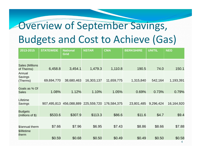### Overview of September Savings, Budgets and Cost to Achieve (Gas)

| 2013-2015                            | <b>STATEWIDE</b> | <b>National</b><br><b>Grid</b> | <b>NSTAR</b> | <b>CMA</b>  | <b>BERKSHIRE</b> | <b>UNITIL</b> | <b>NEG</b>               |
|--------------------------------------|------------------|--------------------------------|--------------|-------------|------------------|---------------|--------------------------|
|                                      |                  |                                |              |             |                  |               |                          |
| <b>Sales (Millions</b><br>of Therms) | 6,458.8          | 3,454.1                        | 1,479.3      | 1,110.8     | 190.5            | 74.0          | 150.1                    |
| Annual<br><b>Savings</b><br>(Therms) | 69,694,770       | 38,680,463                     | 16,303,137   | 11,659,775  | 1,315,840        | 542,164       | 1,193,391                |
|                                      |                  |                                |              |             |                  |               |                          |
| Goals as % Of<br><b>Sales</b>        | 1.08%            | 1.12%                          | 1.10%        | 1.05%       | 0.69%            | 0.73%         | 0.79%                    |
| Lifetime<br><b>Savings</b>           | 907,495,813      | 456,088,889                    | 225,559,720  | 176,584,375 | 23,801,485       | 9,296,424     | 16,164,920               |
| <b>Budgets</b><br>(millions of $$$ ) | \$533.6          | \$307.9                        | \$113.3      | \$86.6      | \$11.6           | \$4.7         | \$9.4                    |
|                                      |                  |                                |              |             |                  |               |                          |
| \$/annual therm                      | \$7.66           | \$7.96                         | \$6.95       | \$7.43      | \$8.86           | \$8.66        | \$7.88                   |
| \$/lifetime<br>therm                 |                  |                                |              | \$0.49      | \$0.49           | \$0.50        |                          |
|                                      | \$0.59           | \$0.68                         | \$0.50       |             |                  |               | \$0.58<br>$\overline{4}$ |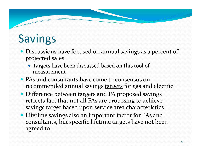## Savings

- Discussions have focused on annual savings as a percent of projected sales
	- Targets have been discussed based on this tool of measurement
- PAs and consultants have come to consensus on recommended annual savings <u>targets</u> for gas and electric
- Difference between targets and PA proposed savings reflects fact that not all PAs are proposing to achieve savings target based upon service area characteristics
- Lifetime savings also an important factor for PAs and consultants, but specific lifetime targets have not been agreed to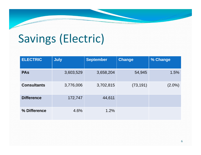## Savings (Electric)

| <b>ELECTRIC</b>    | <b>July</b> | <b>September</b> | <b>Change</b> | % Change  |
|--------------------|-------------|------------------|---------------|-----------|
| <b>PAS</b>         | 3,603,529   | 3,658,204        | 54,945        | 1.5%      |
| <b>Consultants</b> | 3,776,006   | 3,702,815        | (73, 191)     | $(2.0\%)$ |
| <b>Difference</b>  | 172,747     | 44,611           |               |           |
| % Difference       | 4.6%        | 1.2%             |               |           |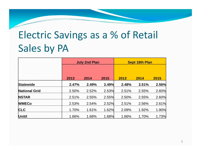### Electric Savings as <sup>a</sup> % of Retail Sales by PA

|                      |       | <b>July 2nd Plan</b> |       |       | <b>Sept 18th Plan</b> |       |  |
|----------------------|-------|----------------------|-------|-------|-----------------------|-------|--|
|                      | 2013  | 2014                 | 2015  | 2013  | 2014                  | 2015  |  |
| <b>Statewide</b>     | 2.47% | 2.49%                | 2.49% | 2.48% | 2.51%                 | 2.56% |  |
| <b>National Grid</b> | 2.50% | 2.52%                | 2.53% | 2.51% | 2.55%                 | 2.60% |  |
| <b>NSTAR</b>         | 2.51% | 2.55%                | 2.55% | 2.50% | 2.55%                 | 2.60% |  |
| <b>WMECo</b>         | 2.53% | 2.54%                | 2.52% | 2.51% | 2.56%                 | 2.61% |  |
| <b>CLC</b>           | 1.70% | 1.61%                | 1.62% | 2.09% | 1.92%                 | 1.90% |  |
| <b>Unitil</b>        | 1.66% | 1.68%                | 1.68% | 1.66% | 1.70%                 | 1.73% |  |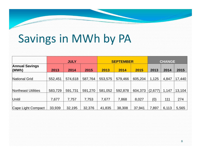## Savings in MWh by PA

|                                | <b>JULY</b> |         |         | <b>SEPTEMBER</b> |         |         | <b>CHANGE</b> |       |        |
|--------------------------------|-------------|---------|---------|------------------|---------|---------|---------------|-------|--------|
| <b>Annual Savings</b><br>(MWh) | 2013        | 2014    | 2015    | 2013             | 2014    | 2015    | 2013          | 2014  | 2015   |
| National Grid                  | 552,451     | 574,618 | 587,764 | 553,575          | 579,466 | 605,204 | 1,125         | 4,847 | 17,440 |
|                                |             |         |         |                  |         |         |               |       |        |
| Northeast Utilities            | 583,729     | 591,731 | 591,270 | 581,052          | 592,878 | 604,373 | (2,677)       | 1,147 | 13,104 |
| <b>Unitil</b>                  | 7,677       | 7,757   | 7,753   | 7,677            | 7,868   | 8,027   | (0)           | 111   | 274    |
| Cape Light Compact             | 33,939      | 32,195  | 32,376  | 41,835           | 38,308  | 37,941  | 7,897         | 6,113 | 5,565  |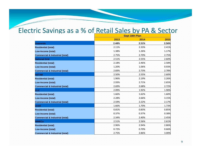#### Electric Savings as a % of Retail Sales by PA & Sector

|                                            | <b>Sept 18th Plan</b> |       |       |  |  |
|--------------------------------------------|-----------------------|-------|-------|--|--|
|                                            | 2013                  | 2014  | 2015  |  |  |
| <b>Statewide</b>                           | 2.48%                 | 2.51% | 2.56% |  |  |
| <b>Residential (total)</b>                 | 2.11%                 | 2.33% | 2.41% |  |  |
| Low-Income (total)                         | 1.38%                 | 1.26% | 1.17% |  |  |
| <b>Commercial &amp; Industrial (total)</b> | 2.75%                 | 2.70% | 2.75% |  |  |
| <b>National Grid</b>                       | 2.51%                 | 2.55% | 2.60% |  |  |
| <b>Residential (total)</b>                 | 2.18%                 | 2.46% | 2.58% |  |  |
| <b>Low-Income (total)</b>                  | 1.20%                 | 1.06% | 0.93% |  |  |
| <b>Commercial &amp; Industrial (total)</b> | 2.83%                 | 2.73% | 2.78% |  |  |
| <b>NSTAR</b>                               | 2.50%                 | 2.55% | 2.60% |  |  |
| <b>Residential (total)</b>                 | 1.96%                 | 2.19% | 2.26% |  |  |
| Low-Income (total)                         | 2.93%                 | 2.71% | 2.65% |  |  |
| <b>Commercial &amp; Industrial (total)</b> | 2.69%                 | 2.68% | 2.72% |  |  |
| <b>CLC</b>                                 | 2.09%                 | 1.92% | 1.90% |  |  |
| <b>Residential (total)</b>                 | 1.66%                 | 1.62% | 1.60% |  |  |
| <b>Low-Income (total)</b>                  | 2.28%                 | 2.66% | 3.15% |  |  |
| <b>Commercial &amp; Industrial (total)</b> | 2.59%                 | 2.22% | 2.17% |  |  |
| <b>Unitil</b>                              | 1.66%                 | 1.70% | 1.73% |  |  |
| <b>Residential (total)</b>                 | 0.81%                 | 0.83% | 0.85% |  |  |
| Low-Income (total)                         | 0.37%                 | 0.37% | 0.38% |  |  |
| <b>Commercial &amp; Industrial (total)</b> | 2.34%                 | 2.40% | 2.45% |  |  |
| <b>WMECo</b>                               | 2.51%                 | 2.56% | 2.61% |  |  |
| <b>Residential (total)</b>                 | 2.96%                 | 2.94% | 2.86% |  |  |
| Low-Income (total)                         | 0.72%                 | 0.70% | 0.66% |  |  |
| <b>Commercial &amp; Industrial (total)</b> | 2.75%                 | 2.86% | 3.00% |  |  |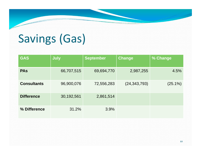# Savings (Gas)

| <b>GAS</b>         | <b>July</b> | <b>September</b> | Change         | % Change   |
|--------------------|-------------|------------------|----------------|------------|
| <b>PAS</b>         | 66,707,515  | 69,694,770       | 2,987,255      | 4.5%       |
| <b>Consultants</b> | 96,900,076  | 72,556,283       | (24, 343, 793) | $(25.1\%)$ |
| <b>Difference</b>  | 30,192,561  | 2,861,514        |                |            |
| % Difference       | 31.2%       | 3.9%             |                |            |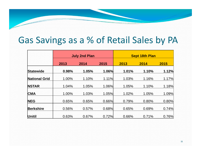#### Gas Savings as <sup>a</sup> % of Retail Sales by PA

|                      | <b>July 2nd Plan</b> |       |       | <b>Sept 18th Plan</b> |       |       |  |
|----------------------|----------------------|-------|-------|-----------------------|-------|-------|--|
|                      | 2013                 | 2014  | 2015  | 2013                  | 2014  | 2015  |  |
| <b>Statewide</b>     | 0.98%                | 1.05% | 1.06% | 1.01%                 | 1.10% | 1.12% |  |
| <b>National Grid</b> | 1.00%                | 1.10% | 1.11% | 1.03%                 | 1.16% | 1.17% |  |
| <b>NSTAR</b>         | 1.04%                | 1.05% | 1.06% | 1.05%                 | 1.10% | 1.18% |  |
| <b>CMA</b>           | 1.00%                | 1.03% | 1.05% | 1.02%                 | 1.05% | 1.09% |  |
| <b>NEG</b>           | 0.65%                | 0.65% | 0.66% | 0.79%                 | 0.80% | 0.80% |  |
| <b>Berkshire</b>     | 0.56%                | 0.57% | 0.68% | 0.65%                 | 0.69% | 0.74% |  |
| Unitil               | 0.63%                | 0.67% | 0.72% | 0.66%                 | 0.71% | 0.76% |  |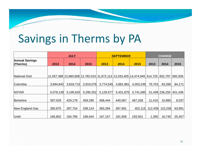## Savings in Therms by PA

|                                   | <b>JULY</b> |           |           | <b>SEPTEMBER</b> |                                                                           |           | <b>CHANGE</b> |                        |         |
|-----------------------------------|-------------|-----------|-----------|------------------|---------------------------------------------------------------------------|-----------|---------------|------------------------|---------|
| <b>Annual Savings</b><br>(Therms) | 2013        | 2014      | 2015      | 2013             | 2014                                                                      | 2015      | 2013          | 2014                   | 2015    |
|                                   |             |           |           |                  |                                                                           |           |               |                        |         |
| <b>National Grid</b>              |             |           |           |                  | 11,557,389 12,680,608 12,782,010 11,872,113 13,333,405 13,474,945 314,725 |           |               | 652,797                | 692,935 |
| Columbia                          | 3,694,842   | 3,818,715 | 3,919,078 | 3,774,545        | 3,881,981                                                                 | 4,003,249 | 79,703        | 63,266                 | 84,171  |
| <b>NSTAR</b>                      | 5,078,139   | 5,195,620 | 5,290,252 | 5,129,577        | 5,431,870                                                                 | 5,741,690 |               | 51,438 236,250 451,438 |         |
| <b>Berkshire</b>                  | 397,029     | 429,178   | 459,290   | 408,444          | 440,067                                                                   | 467,328   | 11,416        | 10,890                 | 8,037   |
| New England Gas                   | 280,875     | 287,754   | 338,124   | 393,284          | 397,991                                                                   | 402,115   | 112,409       | 110,238                | 63,991  |
| Unitil                            | 165,802     | 164,766   | 168,044   | 167,157          | 181,506                                                                   | 193,501   | 1,355         | 16,740                 | 25,457  |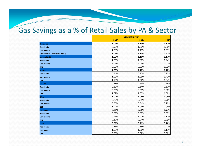#### Gas Savings as <sup>a</sup> % of Retail Sales by PA & Sector

|                                            |       | <b>Sept 18th Plan</b> |       |  |  |  |
|--------------------------------------------|-------|-----------------------|-------|--|--|--|
|                                            | 2013  | 2014                  | 2015  |  |  |  |
| <b>Statewide</b>                           | 1.01% | 1.10%                 | 1.12% |  |  |  |
| <b>Residential</b>                         | 0.92% | 1.03%                 | 1.02% |  |  |  |
| <b>Low Income</b>                          | 1.28% | 1.48%                 | 1.51% |  |  |  |
| <b>Commercial &amp; Industrial (total)</b> | 1.08% | 1.15%                 | 1.21% |  |  |  |
| <b>National Grid</b>                       | 1.03% | 1.16%                 | 1.17% |  |  |  |
| <b>Residential</b>                         | 1.06% | 1.26%                 | 1.24% |  |  |  |
| <b>Low Income</b>                          | 2.01% | 2.05%                 | 2.01% |  |  |  |
| C&I                                        | 0.92% | 0.99%                 | 1.02% |  |  |  |
| <b>NSTAR</b>                               | 1.05% | 1.10%                 | 1.18% |  |  |  |
| <b>Residential</b>                         | 0.84% | 0.90%                 | 0.92% |  |  |  |
| <b>Low Income</b>                          | 1.29% | 1.35%                 | 1.41% |  |  |  |
| C&I                                        | 1.18% | 1.22%                 | 1.34% |  |  |  |
| <b>NE Gas</b>                              | 0.79% | 0.80%                 | 0.80% |  |  |  |
| <b>Residential</b>                         | 0.63% | 0.64%                 | 0.63% |  |  |  |
| <b>Low Income</b>                          | 0.33% | 0.33%                 | 0.33% |  |  |  |
| C&I                                        | 1.52% | 1.53%                 | 1.59% |  |  |  |
| <b>CMA</b>                                 | 1.02% | 1.05%                 | 1.09% |  |  |  |
| <b>Residential</b>                         | 0.70% | 0.71%                 | 0.72% |  |  |  |
| <b>Low Income</b>                          | 0.76% | 0.84%                 | 0.92% |  |  |  |
| C&I                                        | 1.92% | 1.96%                 | 2.06% |  |  |  |
| <b>Berkshire</b>                           | 0.65% | 0.69%                 | 0.74% |  |  |  |
| <b>Residential</b>                         | 0.89% | 0.89%                 | 0.89% |  |  |  |
| <b>Low Income</b>                          | 0.96% | 1.02%                 | 1.11% |  |  |  |
| <b>C&amp;I</b>                             | 0.49% | 0.54%                 | 0.62% |  |  |  |
| <b>Unitil</b>                              | 0.66% | 0.71%                 | 0.76% |  |  |  |
| <b>Residential</b>                         | 0.35% | 0.38%                 | 0.41% |  |  |  |
| <b>Low Income</b>                          | 1.02% | 1.06%                 | 1.17% |  |  |  |
| C&I                                        | 0.76% | 0.82%                 | 0.88% |  |  |  |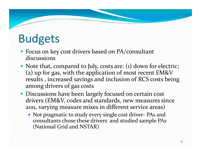## Budgets

- Focus on key cost drivers based on PA/consultant discussions
- Note that, compared to July, costs are: (1) down for electric; (2) up for gas, with the application of most recent EM&V results , increased savings and inclusion of RCS costs being among drivers of gas costs
- Discussions have been largely focused on certain cost drivers (EM&V, codes and standards, new measures since 2011, varying measure mixes in different service areas)
	- Not pragmatic to study every single cost driver ‐ PAs and consultants chose these drivers and studied sample PAs (National Grid and NSTAR)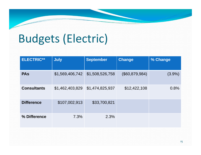## Budgets (Electric)

| <b>ELECTRIC**</b>     | <b>July</b>     | <b>September</b> | <b>Change</b>  | % Change  |
|-----------------------|-----------------|------------------|----------------|-----------|
| <b>PA<sub>s</sub></b> | \$1,569,406,742 | \$1,508,526,758  | (\$60,879,984) | $(3.9\%)$ |
| <b>Consultants</b>    | \$1,462,403,829 | \$1,474,825,937  | \$12,422,108   | 0.8%      |
| <b>Difference</b>     | \$107,002,913   | \$33,700,821     |                |           |
| % Difference          | 7.3%            | 2.3%             |                |           |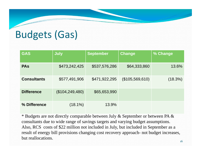#### Budgets (Gas)

| <b>GAS</b>         | <b>July</b>       | <b>September</b> | <b>Change</b>   | % Change |
|--------------------|-------------------|------------------|-----------------|----------|
| <b>PAS</b>         | \$473,242,425     | \$537,576,286    | \$64,333,860    | 13.6%    |
| <b>Consultants</b> | \$577,491,906     | \$471,922,295    | (\$105,569,610) | (18.3%)  |
| <b>Difference</b>  | (\$104, 249, 480) | \$65,653,990     |                 |          |
| % Difference       | $(18.1\%)$        | 13.9%            |                 |          |

\* Budgets are not directly comparable between July & September or between PA & consultants due to wide range of savings targets and varying budget assumptions. Also, RCS costs of \$22 million not included in July, but included in September as a result of energy bill provisions changing cost recovery approach- not budget increases, but reallocations.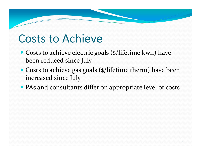#### Costs to Achieve

- Costs to achieve electric goals (\$/lifetime kwh) have been reduced since July
- Costs to achieve gas goals (\$/lifetime therm) have been increased since July
- PAs and consultants differ on appropriate level of costs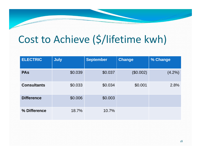### Cost to Achieve (\$/lifetime kwh)

| <b>ELECTRIC</b>    | <b>July</b> | <b>September</b> | <b>Change</b> | % Change  |
|--------------------|-------------|------------------|---------------|-----------|
| <b>PAS</b>         | \$0.039     | \$0.037          | (\$0.002)     | $(4.2\%)$ |
| <b>Consultants</b> | \$0.033     | \$0.034          | \$0.001       | 2.8%      |
| <b>Difference</b>  | \$0.006     | \$0.003          |               |           |
| % Difference       | 18.7%       | 10.7%            |               |           |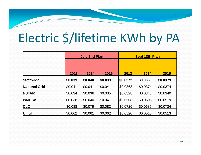## Electric \$/lifetime KWh by PA

|                      |         | <b>July 2nd Plan</b> |         |          | <b>Sept 18th Plan</b> |          |  |  |
|----------------------|---------|----------------------|---------|----------|-----------------------|----------|--|--|
|                      |         |                      |         |          |                       |          |  |  |
|                      | 2013    | 2014                 | 2015    | 2013     | 2014                  | 2015     |  |  |
| <b>Statewide</b>     | \$0.039 | \$0.040              | \$0.039 | \$0.0372 | \$0.0380              | \$0.0379 |  |  |
| <b>National Grid</b> | \$0.041 | \$0.041              | \$0.041 | \$0.0368 | \$0.0374              | \$0.0374 |  |  |
| <b>NSTAR</b>         | \$0.034 | \$0.036              | \$0.035 | \$0.0328 | \$0.0343              | \$0.0340 |  |  |
| <b>WMECo</b>         | \$0.038 | \$0.040              | \$0.041 | \$0.0508 | \$0.0506              | \$0.0519 |  |  |
| <b>CLC</b>           | \$0.088 | \$0.079              | \$0.082 | \$0.0726 | \$0.0685              | \$0.0724 |  |  |
| <b>Unitil</b>        | \$0.062 | \$0.061              | \$0.062 | \$0.0520 | \$0.0516              | \$0.0513 |  |  |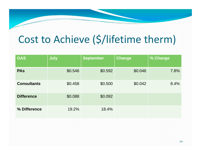#### Cost to Achieve (\$/lifetime therm)

| <b>GAS</b>         | <b>July</b> | <b>September</b> | <b>Change</b> | % Change |
|--------------------|-------------|------------------|---------------|----------|
| <b>PAS</b>         | \$0.546     | \$0.592          | \$0.046       | 7.8%     |
| <b>Consultants</b> | \$0.458     | \$0.500          | \$0.042       | 8.4%     |
| <b>Difference</b>  | \$0.088     | \$0.092          |               |          |
| % Difference       | 19.2%       | 18.4%            |               |          |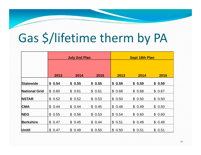# Gas \$/lifetime therm by PA

|                      | <b>July 2nd Plan</b> |        |        | <b>Sept 18th Plan</b> |        |        |  |
|----------------------|----------------------|--------|--------|-----------------------|--------|--------|--|
|                      |                      |        |        |                       |        |        |  |
|                      | 2013                 | 2014   | 2015   | 2013                  | 2014   | 2015   |  |
| <b>Statewide</b>     | \$0.54               | \$0.55 | \$0.55 | \$0.59                | \$0.59 | \$0.59 |  |
| <b>National Grid</b> | \$0.60               | \$0.61 | \$0.61 | \$0.68                | \$0.68 | \$0.67 |  |
| <b>NSTAR</b>         | \$0.52               | \$0.52 | \$0.53 | \$0.50                | \$0.50 | \$0.50 |  |
| <b>CMA</b>           | \$0.44               | \$0.44 | \$0.45 | \$0.48                | \$0.49 | \$0.50 |  |
| <b>NEG</b>           | \$0.55               | \$0.56 | \$0.53 | \$0.54                | \$0.60 | \$0.60 |  |
| <b>Berkshire</b>     | \$0.47               | \$0.45 | \$0.44 | \$0.51                | \$0.49 | \$0.48 |  |
| <b>Unitil</b>        | \$0.47               | \$0.49 | \$0.50 | \$0.50                | \$0.51 | \$0.51 |  |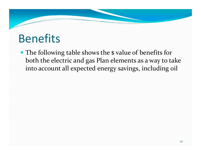#### Benefits

• The following table shows the \$ value of benefits for both the electric and gas Plan elements as <sup>a</sup> way to take into account all expected energy savings, including oil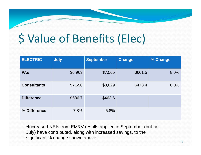## \$ Value of Benefits (Elec)

| <b>ELECTRIC</b>    | <b>July</b> | September | <b>Change</b> | % Change |
|--------------------|-------------|-----------|---------------|----------|
| <b>PAS</b>         | \$6,963     | \$7,565   | \$601.5       | 8.0%     |
| <b>Consultants</b> | \$7,550     | \$8,029   | \$478.4       | 6.0%     |
| <b>Difference</b>  | \$586.7     | \$463.6   |               |          |
| % Difference       | 7.8%        | 5.8%      |               |          |

\*Increased NEIs from EM&V results applied in September (but not July) have contributed, along with increased savings, to the significant % change shown above.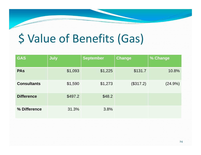## \$ Value of Benefits (Gas)

| <b>GAS</b>         | <b>July</b> | <b>September</b> | <b>Change</b> | % Change |
|--------------------|-------------|------------------|---------------|----------|
| <b>PAS</b>         | \$1,093     | \$1,225          | \$131.7       | 10.8%    |
| <b>Consultants</b> | \$1,590     | \$1,273          | (\$317.2)     | (24.9%)  |
| <b>Difference</b>  | \$497.2     | \$48.2           |               |          |
| % Difference       | 31.3%       | 3.8%             |               |          |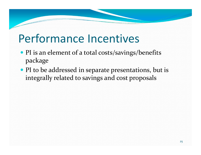### Performance Incentives

- PI is an element of a total costs/savings/benefits package
- PI to be addressed in separate presentations, but is integrally related to savings and cost proposals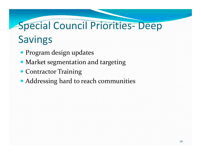## Special Council Priorities‐ Deep Savings

- Program design updates
- Market segmentation and targeting
- Contractor Training
- Addressing hard to reach communities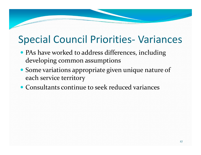#### Special Council Priorities‐ Variances

- PAs have worked to address differences, including developing common assumptions
- Some variations appropriate given unique nature of each service territory
- Consultants continue to seek reduced variances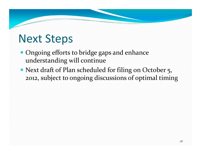### Next Steps

- Ongoing efforts to bridge gaps and enhance understanding will continue
- Next draft of Plan scheduled for filing on October 5, 2012, subject to ongoing discussions of optimal timing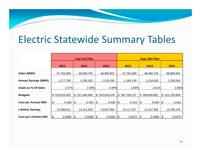#### Electric Statewide Summary Tables

|                              | <b>July 2nd Plan</b>                |                      |                             | <b>Sept 18th Plan</b> |                               |                        |  |
|------------------------------|-------------------------------------|----------------------|-----------------------------|-----------------------|-------------------------------|------------------------|--|
|                              | 2013                                | 2014                 | 2015                        | 2013                  | 2014                          | 2015                   |  |
| Sales (MWh)                  | 47,763,309                          | 48,460,704           | 48,960,921                  | 47,763,309            | 48,460,704                    | 48,960,921             |  |
| <b>Annual Savings (MWh)</b>  | 1,177,795                           | 1,206,302            | 1,219,163                   | 1,184,139             | 1,218,520                     | 1,255,545              |  |
| Goals as % Of Sales          | 2.47%                               | 2.49%                | 2.49%                       | 2.48%                 | 2.51%                         | 2.56%                  |  |
| <b>Budgets</b>               | \$513,825,825                       | \$521,946,840        | 533,634,078<br>$\mathbb{S}$ | \$487,706,107         | $\mathfrak{S}$<br>498,690,801 | \$522,129,849          |  |
| <b>Cost per Annual kWh</b>   | $\frac{1}{2}$<br>0.436              | $\vert$ \$<br>0.433  | $\sqrt{2}$<br>0.438         | 0.412<br>$\sqrt{3}$   | \$<br>0.409                   | $\mathcal{L}$<br>0.416 |  |
|                              |                                     |                      |                             |                       |                               |                        |  |
| <b>Lifetime Savings</b>      | 13,298,811                          | 13,101,549           | 13,557,964                  | 13,117,227            | 13,137,492                    | 13,769,129             |  |
| <b>Cost per Lifetime kWh</b> | $\boldsymbol{\mathsf{S}}$<br>0.0386 | $\sqrt{3}$<br>0.0398 | $\sqrt{3}$<br>0.0394        | 0.0372<br>1\$         | 0.0380<br>1\$                 | $\sqrt{3}$<br>0.0379   |  |